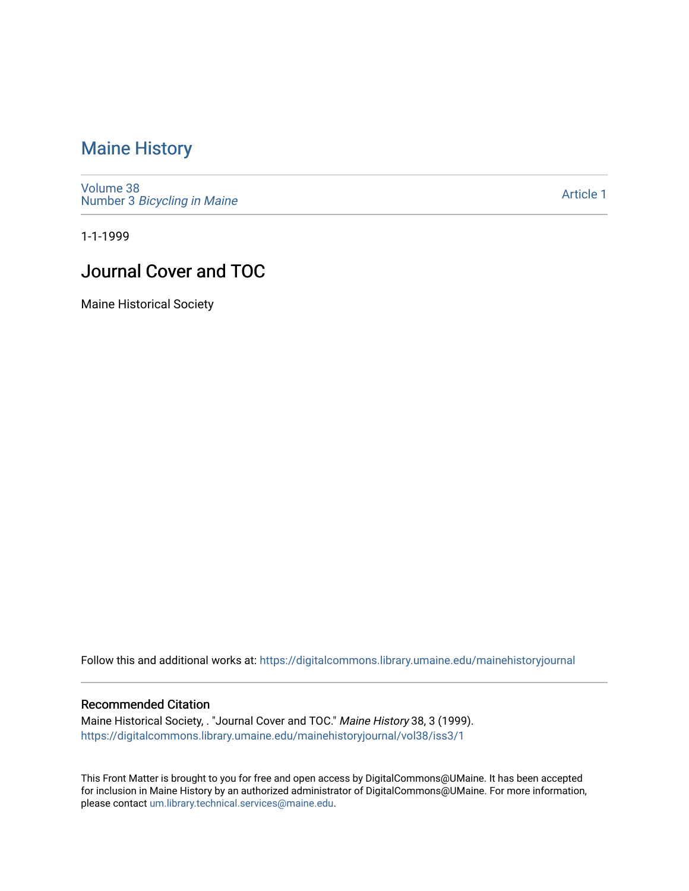## [Maine History](https://digitalcommons.library.umaine.edu/mainehistoryjournal)

[Volume 38](https://digitalcommons.library.umaine.edu/mainehistoryjournal/vol38) Number 3 [Bicycling in Maine](https://digitalcommons.library.umaine.edu/mainehistoryjournal/vol38/iss3) 

[Article 1](https://digitalcommons.library.umaine.edu/mainehistoryjournal/vol38/iss3/1) 

1-1-1999

# Journal Cover and TOC

Maine Historical Society

Follow this and additional works at: [https://digitalcommons.library.umaine.edu/mainehistoryjournal](https://digitalcommons.library.umaine.edu/mainehistoryjournal?utm_source=digitalcommons.library.umaine.edu%2Fmainehistoryjournal%2Fvol38%2Fiss3%2F1&utm_medium=PDF&utm_campaign=PDFCoverPages) 

### Recommended Citation

Maine Historical Society, . "Journal Cover and TOC." Maine History 38, 3 (1999). [https://digitalcommons.library.umaine.edu/mainehistoryjournal/vol38/iss3/1](https://digitalcommons.library.umaine.edu/mainehistoryjournal/vol38/iss3/1?utm_source=digitalcommons.library.umaine.edu%2Fmainehistoryjournal%2Fvol38%2Fiss3%2F1&utm_medium=PDF&utm_campaign=PDFCoverPages)

This Front Matter is brought to you for free and open access by DigitalCommons@UMaine. It has been accepted for inclusion in Maine History by an authorized administrator of DigitalCommons@UMaine. For more information, please contact [um.library.technical.services@maine.edu.](mailto:um.library.technical.services@maine.edu)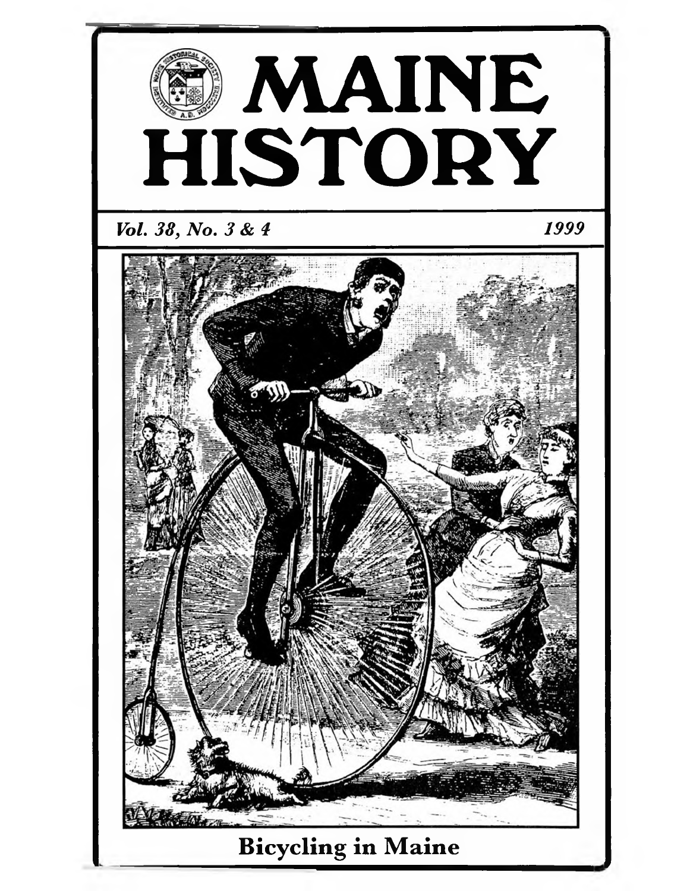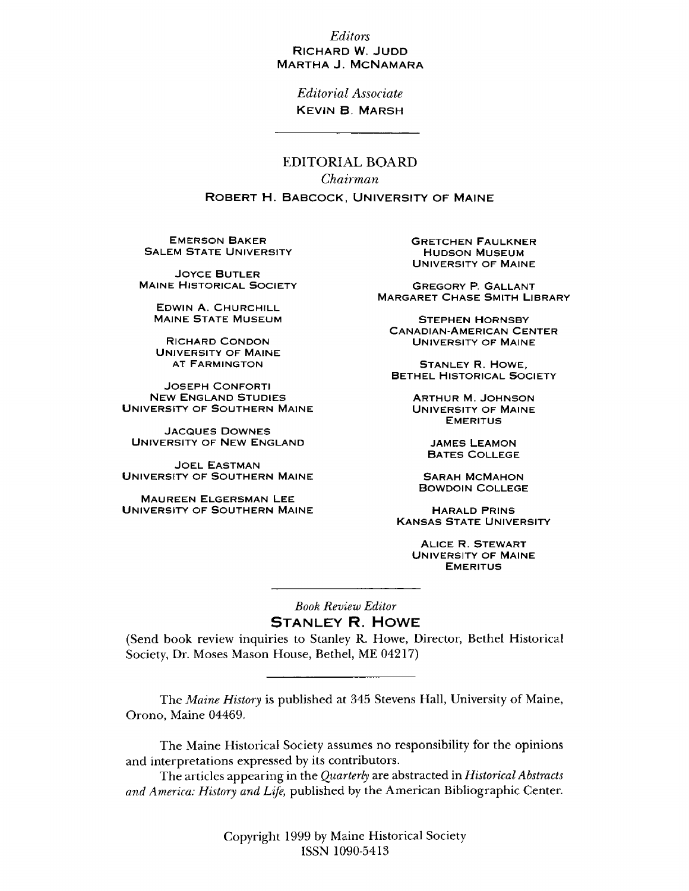### *Editors* **RICHARD W. JUDD MARTHA J. MCNAMARA**

*Editorial Associate* **KEVIN B. MARSH** 

#### EDITORIAL BOARD

*Chairman* **ROBERT H. BABCOCK, UNIVERSITY OF MAINE** 

**EMERSON BAKER SALEM STATE UNIVERSITY** 

**JOYCE BUTLER MAINE HISTORICAL SOCIETY** 

**EDWIN A. CHURCHILL MAINE STATE MUSEUM** 

**RICHARD CONDON UNIVERSITY OF MAINE AT FARMINGTON** 

**JOSEPH CONFORTI NEW ENGLAND STUDIES UNIVERSITY OF SOUTHERN MAINE** 

**J a c q u e s Do w n e s UNIVERSITY OF NEW ENGLAND** 

**JOEL EASTMAN UNIVERSITY OF SOUTHERN MAINE** 

**MAUREEN ELGERSMAN LEE UNIVERSITY OF SOUTHERN MAINE**  **GRETCHEN FAULKNER HUDSON MUSEUM UNIVERSITY OF MAINE** 

**GREGORY P. GALLANT MARGARET CHASE SMITH LIBRARY** 

**STEPHEN HORNSBY CANADIAN-AMERICAN CENTER UNIVERSITY OF MAINE** 

**STANLEY R. HOWE, BETHEL HISTORICAL SOCIETY** 

> **ARTHUR M. JOHNSON UNIVERSITY OF MAINE EMERITUS**

> > **JAMES LEAMON BATES COLLEGE**

**SARAH MCMAHON BOWDOIN COLLEGE** 

**HARALD PRINS KANSAS STATE UNIVERSITY** 

**ALICE R. STEWART UNIVERSITY OF MAINE EMERITUS** 

*Book Review Editor* **STANLEY R. HOWE** 

(Send book review inquiries to Stanley R. Howe, Director, Bethel Historical Society, Dr. Moses Mason House, Bethel, ME 04217)

The *Maine History* is published at 345 Stevens Hall, University of Maine, Orono, Maine 04469.

The Maine Historical Society assumes no responsibility for the opinions and interpretations expressed by its contributors.

The articles appearing in the *Qiiarterly* are abstracted in *Historical Abstracts and America: History and Life,* published by the American Bibliographic Center.